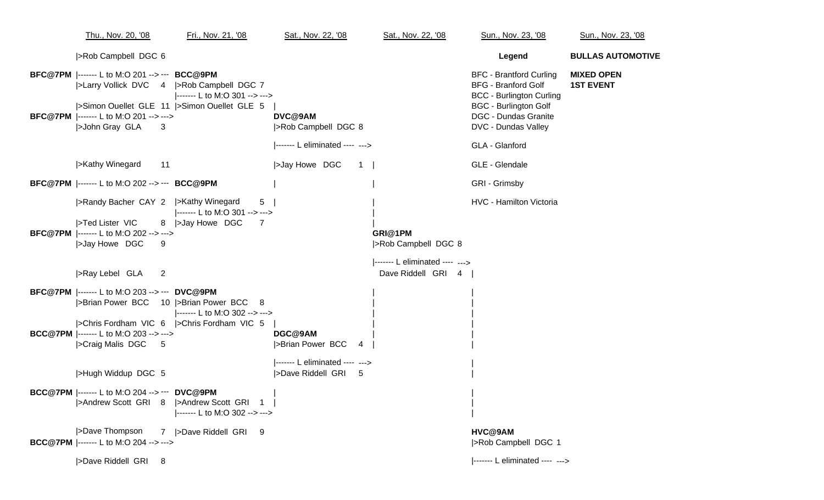| Thu., Nov. 20, '08                                                                                                                                                                                         | Fri., Nov. 21, '08                                                         | Sat., Nov. 22, '08                                     | Sat., Nov. 22, '08                                   | Sun., Nov. 23, '08                                                                                                                                                                    | Sun., Nov. 23, '08                    |
|------------------------------------------------------------------------------------------------------------------------------------------------------------------------------------------------------------|----------------------------------------------------------------------------|--------------------------------------------------------|------------------------------------------------------|---------------------------------------------------------------------------------------------------------------------------------------------------------------------------------------|---------------------------------------|
| >Rob Campbell DGC 6                                                                                                                                                                                        |                                                                            |                                                        |                                                      | Legend                                                                                                                                                                                | <b>BULLAS AUTOMOTIVE</b>              |
| BFC@7PM  ------- L to M:O 201 -->--- BCC@9PM<br> >Larry Vollick DVC 4  >Rob Campbell DGC 7<br>>Simon Ouellet GLE 11  >Simon Ouellet GLE 5<br>BFC@7PM  ------- L to M:O 201 --> ---><br>>John Gray GLA<br>3 | ------- L to M:O 301 --> --->                                              | DVC@9AM<br> >Rob Campbell DGC 8                        |                                                      | <b>BFC - Brantford Curling</b><br><b>BFG - Branford Golf</b><br><b>BCC - Burlington Curling</b><br><b>BGC - Burlington Golf</b><br><b>DGC - Dundas Granite</b><br>DVC - Dundas Valley | <b>MIXED OPEN</b><br><b>1ST EVENT</b> |
|                                                                                                                                                                                                            |                                                                            | ------- L eliminated ---- --->                         |                                                      | GLA - Glanford                                                                                                                                                                        |                                       |
| >Kathy Winegard<br>11                                                                                                                                                                                      |                                                                            | >Jay Howe DGC<br>$1 \mid$                              |                                                      | GLE - Glendale                                                                                                                                                                        |                                       |
| <b>BFC@7PM</b>  ------- L to M:O 202 --> --- <b>BCC@9PM</b>                                                                                                                                                |                                                                            |                                                        |                                                      | GRI - Grimsby                                                                                                                                                                         |                                       |
| >Randy Bacher CAY 2  >Kathy Winegard<br>>Ted Lister VIC<br><b>BFC@7PM</b>  ------- L to M:O 202 --> ---><br> >Jay Howe DGC<br>9                                                                            | 5<br> ------- L to M:O 301 --> ---><br>8   > Jay Howe DGC<br>7             |                                                        | GRI@1PM<br> >Rob Campbell DGC 8                      | HVC - Hamilton Victoria                                                                                                                                                               |                                       |
| >Ray Lebel GLA<br>2                                                                                                                                                                                        |                                                                            |                                                        | ------- L eliminated ---- ---><br>Dave Riddell GRI 4 |                                                                                                                                                                                       |                                       |
| <b>BFC@7PM</b>  ------- L to M:O 203 --> --- DVC@9PM<br> >Chris Fordham VIC 6  >Chris Fordham VIC 5<br><b>BCC@7PM</b>  ------- L to M:O 203 --> ---><br> >Craig Malis DGC 5                                | ------- L to M:O 302 --> --->                                              | DGC@9AM<br>>Brian Power BCC<br>$\overline{4}$          |                                                      |                                                                                                                                                                                       |                                       |
| >Hugh Widdup DGC 5<br><b>BCC@7PM</b>  ------- L to M:O 204 --> --- DVC@9PM                                                                                                                                 | >Andrew Scott GRI 8  >Andrew Scott GRI 1<br> ------- L to M:O 302 --> ---> | ------- L eliminated ---- ---><br> >Dave Riddell GRI 5 |                                                      |                                                                                                                                                                                       |                                       |
| >Dave Thompson<br><b>BCC@7PM</b>  ------- L to M:O 204 --> --->                                                                                                                                            | 7  >Dave Riddell GRI 9                                                     |                                                        |                                                      | HVC@9AM<br> >Rob Campbell DGC 1                                                                                                                                                       |                                       |
| >Dave Riddell GRI<br>$_{8}$                                                                                                                                                                                |                                                                            |                                                        |                                                      | ------- L eliminated ---- --->                                                                                                                                                        |                                       |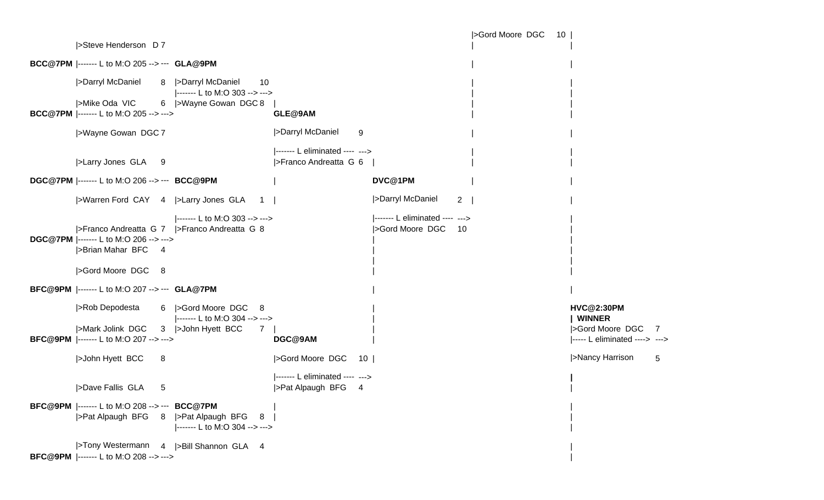|>Gord Moore DGC 10 | |>Steve Henderson D 7 | | **BCC@7PM** |------- L to M:O 205 --> --- **GLA@9PM** | | |>Darryl McDaniel 8 |>Darryl McDaniel 10 |------- L to M:O 303 --> ---> |>Mike Oda VIC 6 |>Wayne Gowan DGC 8 **BCC@7PM** |------- L to M:O 205 --> ---> **GLE@9AM** | | |>Wayne Gowan DGC <sup>7</sup> |>Darryl McDaniel 9 | | |------- L eliminated ---- ---> |>Larry Jones GLA 9 |>Franco Andreatta G 6 | **DGC@7PM** |------- L to M:O 206 --> --- **BCC@9PM** | **DVC@1PM** | | |>Warren Ford CAY <sup>4</sup> |>Larry Jones GLA <sup>1</sup> | |>Darryl McDaniel 2 | | |------- L to M:O 303 --> ---> |------- L eliminated ---- ---> | |>Franco Andreatta G 7 |>Franco Andreatta G 8 |>Gord Moore DGC 10 | **DGC@7PM** |------- L to M:O 206 --> ---> | | |>Brian Mahar BFC 4 | | |>Gord Moore DGC 8 | | **BFC@9PM** |------- L to M:O 207 --> --- **GLA@7PM** | | |>Rob Depodesta 6 |>Gord Moore DGC 8 | **HVC@2:30PM** |------- L to M:O 304 --> ---> | **| WINNER** |>Mark Jolink DGC 3 |>John Hyett BCC 7 | | |>Gord Moore DGC 7 **BFC@9PM** |------- L to M:O 207 --> ---> **DGC@9AM** | |----- L eliminated ----> ---> |>John Hyett BCC <sup>8</sup> |>Gord Moore DGC <sup>10</sup> | |>Nancy Harrison 5 |------- L eliminated ---- ---> **|** |>Dave Fallis GLA 5 |>Pat Alpaugh BFG 4 **BFC@9PM** |------- L to M:O 208 --> --- **BCC@7PM** | | |>Pat Alpaugh BFG 8 |>Pat Alpaugh BFG 8 |------- L to M:O 304 --> ---> |>Tony Westermann 4 |>Bill Shannon GLA <sup>4</sup> | **BFC@9PM** |------- L to M:O 208 --> ---> |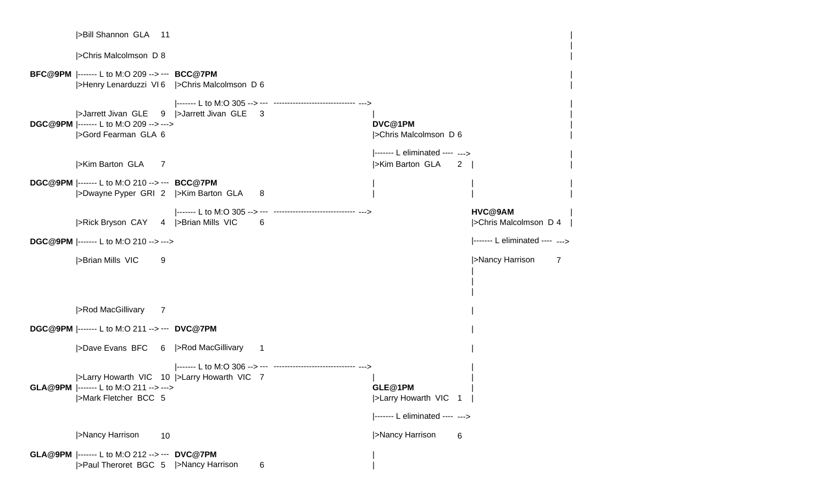| >Bill Shannon GLA 11                                                                               |                                             |                                                                       |                                         |
|----------------------------------------------------------------------------------------------------|---------------------------------------------|-----------------------------------------------------------------------|-----------------------------------------|
| <b>&gt;Chris Malcolmson D 8</b>                                                                    |                                             |                                                                       |                                         |
| <b>BFC@9PM</b>  ------- L to M:O 209 --> --- <b>BCC@7PM</b>                                        | >Henry Lenarduzzi VI6 >Chris Malcolmson D 6 |                                                                       |                                         |
| >Jarrett Jivan GLE<br><b>DGC@9PM</b>  ------- L to M:O 209 --> ---><br>>Gord Fearman GLA 6         | 9   > Jarrett Jivan GLE 3                   | DVC@1PM<br> >Chris Malcolmson D 6                                     |                                         |
| >Kim Barton GLA<br>$\overline{7}$                                                                  |                                             | ------- L eliminated ---- ---><br> >Kim Barton GLA<br>$\mathbf{2}$    |                                         |
| <b>DGC@9PM</b>  ------- L to M:O 210 --> --- <b>BCC@7PM</b><br>>Dwayne Pyper GRI 2 >Kim Barton GLA | 8                                           |                                                                       |                                         |
| >Rick Bryson CAY 4  >Brian Mills VIC                                                               | -6                                          |                                                                       | HVC@9AM<br><b>Schris Malcolmson D 4</b> |
| DGC@9PM  ------- L to M:O 210 --> --->                                                             |                                             |                                                                       | ------- L eliminated ---- --->          |
| >Brian Mills VIC<br>9                                                                              |                                             |                                                                       | >Nancy Harrison<br>7                    |
| >Rod MacGillivary<br>7                                                                             |                                             |                                                                       |                                         |
| <b>DGC@9PM</b>  ------- L to M:O 211 --> --- DVC@7PM                                               |                                             |                                                                       |                                         |
| >Dave Evans BFC 6  >Rod MacGillivary                                                               | $\mathbf{1}$                                |                                                                       |                                         |
| GLA@9PM  ------- L to M:O 211 --> ---><br> >Mark Fletcher BCC 5                                    | >Larry Howarth VIC 10  >Larry Howarth VIC 7 | GLE@1PM<br> >Larry Howarth VIC 1  <br> ------- L eliminated ---- ---> |                                         |
| >Nancy Harrison<br>10                                                                              |                                             | >Nancy Harrison<br>6                                                  |                                         |
| GLA@9PM  ------- L to M:O 212 --> --- DVC@7PM<br>>Paul Theroret BGC 5                              | >Nancy Harrison<br>6                        |                                                                       |                                         |